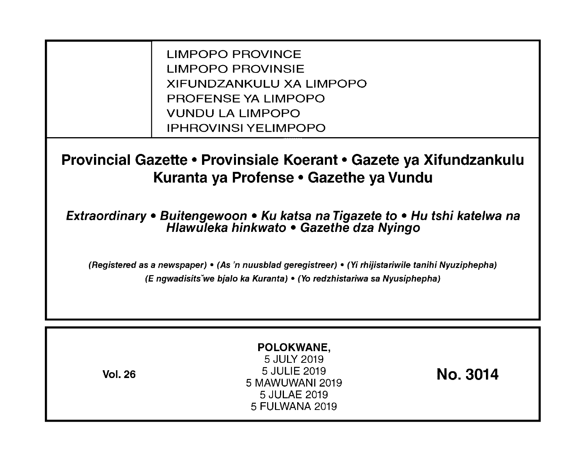LIMPOPO PROVINCE LIMPOPO PROVINSIE XIFUNDZANKULU XA LIMPOPO PROFENSE YA LIMPOPO VUNDU LA LIMPOPO IPHROVINSI YELIMPOPO

**Provincial Gazette • Provinsiale Koerant • Gazete ya Xifundzankulu Kuranta ya Profense • Gazethe ya Vundu** 

**Extraordinary • Buitengewoon • Ku katsa na Tigazete to • Hu tshi katelwa na Hlawuleka hinkwato • Gazethe dza Nyingo** 

(Registered as a newspaper) • (As 'n nuusblad geregistreer) • (Yi rhijistariwile tanihi Nyuziphepha) (E ngwadisitsVwe bjalo ka Kuranta) • (Yo redzhistariwa sa Nyusiphepha)

| POLOKWANE,<br>5 JULY 2019<br>5 JULIE 2019<br><b>Vol. 26</b><br>5 MAWUWANI 2019<br>5 JULAE 2019<br>5 FULWANA 2019 | No. 3014 |
|------------------------------------------------------------------------------------------------------------------|----------|
|------------------------------------------------------------------------------------------------------------------|----------|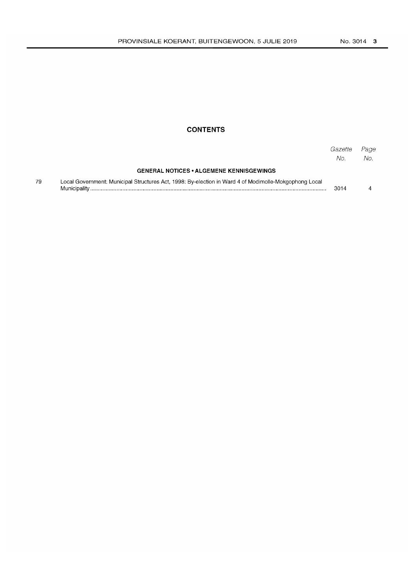## **CONTENTS**

|    |                                                                                                                       | Gazette<br>No. | Page<br>No. |
|----|-----------------------------------------------------------------------------------------------------------------------|----------------|-------------|
|    | <b>GENERAL NOTICES • ALGEMENE KENNISGEWINGS</b>                                                                       |                |             |
| 79 | Local Government: Municipal Structures Act, 1998: By-election in Ward 4 of Modimolle-Mokgophong Local<br>Municipality | 3014           |             |